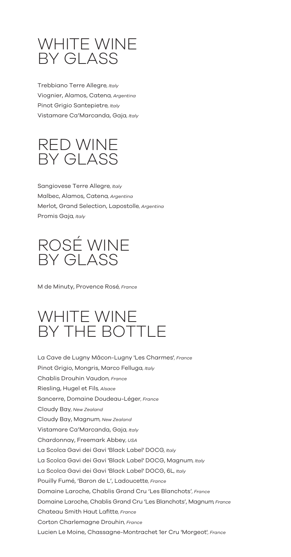## WHITE WINE BY GLASS

Trebbiano Terre Allegre*, Italy* Viognier, Alamos, Catena*, Argentina* Pinot Grigio Santepietre*, Italy* Vistamare Ca'Marcanda, Gaja*, Italy*



Sangiovese Terre Allegre*, Italy* Malbec, Alamos, Catena*, Argentina* Merlot, Grand Selection, Lapostolle*, Argentina* Promis Gaja*, Italy*

ROSÉ WINE BY GLASS

M de Minuty, Provence Rosé*, France*

## WHITE WINE BY THE BOTTLE

La Cave de Lugny Mâcon-Lugny 'Les Charmes'*, France* Pinot Grigio, Mongris, Marco Felluga*, Italy* Chablis Drouhin Vaudon*, France* Riesling, Hugel et Fils*, Alsace* Sancerre, Domaine Doudeau-Léger*, France* Cloudy Bay*, New Zealand* Vistamare Ca'Marcanda, Gaja*, Italy* Chardonnay, Freemark Abbey*, USA* La Scolca Gavi dei Gavi 'Black Label' DOCG*, Italy* Cloudy Bay, Magnum*, New Zealand* Pouilly Fumé, 'Baron de L', Ladoucette*, France* Domaine Laroche, Chablis Grand Cru 'Les Blanchots'*, France* La Scolca Gavi dei Gavi 'Black Label' DOCG, Magnum*, Italy* La Scolca Gavi dei Gavi 'Black Label' DOCG, 6L*, Italy* Chateau Smith Haut Lafitte*, France* Corton Charlemagne Drouhin*, France* Lucien Le Moine, Chassagne-Montrachet 1er Cru 'Morgeot'*, France* Domaine Laroche, Chablis Grand Cru 'Les Blanchots', Magnum*, France*